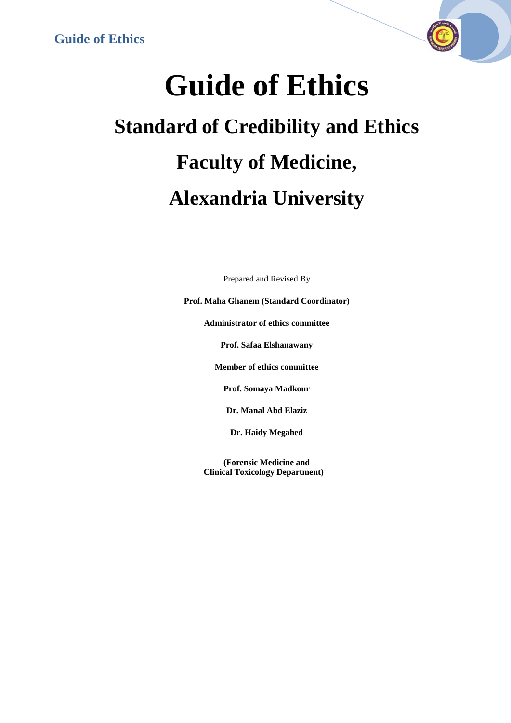

# **Guide of Ethics Standard of Credibility and Ethics Faculty of Medicine, Alexandria University**

Prepared and Revised By

**Prof. Maha Ghanem (Standard Coordinator)**

**Administrator of ethics committee**

**Prof. Safaa Elshanawany**

**Member of ethics committee**

**Prof. Somaya Madkour**

**Dr. Manal Abd Elaziz**

**Dr. Haidy Megahed**

**(Forensic Medicine and Clinical Toxicology Department)**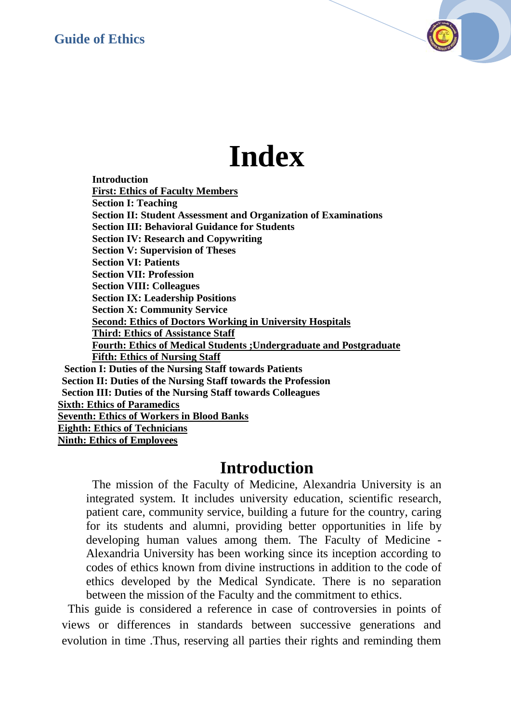## **Index**

**Introduction First: Ethics of Faculty Members Section I: Teaching Section II: Student Assessment and Organization of Examinations Section III: Behavioral Guidance for Students Section IV: Research and Copywriting Section V: Supervision of Theses Section VI: Patients Section VII: Profession Section VIII: Colleagues Section IX: Leadership Positions Section X: Community Service Second: Ethics of Doctors Working in University Hospitals Third: Ethics of Assistance Staff Fourth: Ethics of Medical Students ;Undergraduate and Postgraduate Fifth: Ethics of Nursing Staff Section I: Duties of the Nursing Staff towards Patients Section II: Duties of the Nursing Staff towards the Profession Section III: Duties of the Nursing Staff towards Colleagues Sixth: Ethics of Paramedics Seventh: Ethics of Workers in Blood Banks Eighth: Ethics of Technicians Ninth: Ethics of Employees**

### **Introduction**

The mission of the Faculty of Medicine, Alexandria University is an integrated system. It includes university education, scientific research, patient care, community service, building a future for the country, caring for its students and alumni, providing better opportunities in life by developing human values among them. The Faculty of Medicine - Alexandria University has been working since its inception according to codes of ethics known from divine instructions in addition to the code of ethics developed by the Medical Syndicate. There is no separation between the mission of the Faculty and the commitment to ethics.

This guide is considered a reference in case of controversies in points of views or differences in standards between successive generations and evolution in time .Thus, reserving all parties their rights and reminding them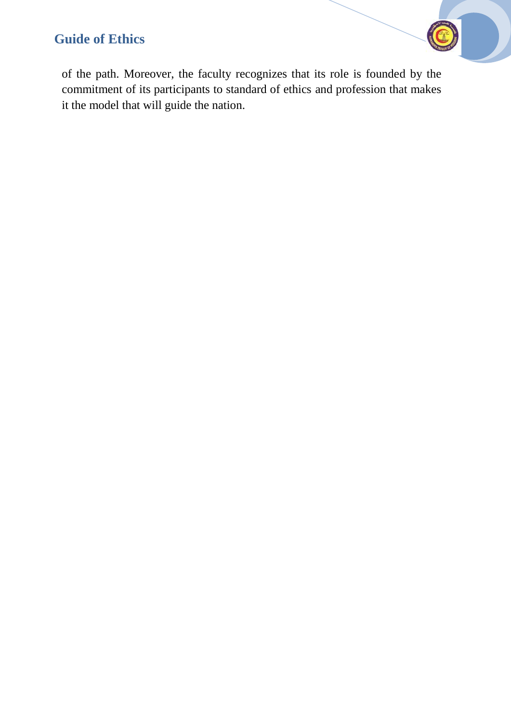of the path. Moreover, the faculty recognizes that its role is founded by the commitment of its participants to standard of ethics and profession that makes it the model that will guide the nation.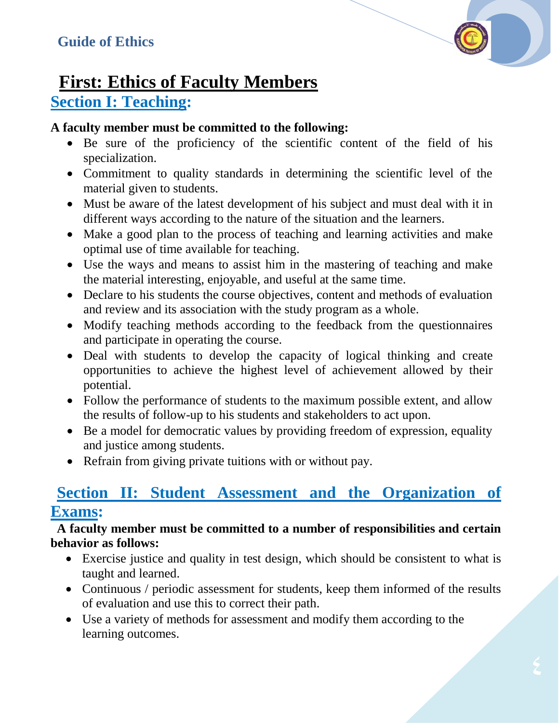

### **First: Ethics of Faculty Members Section I: Teaching:**

#### **A faculty member must be committed to the following:**

- Be sure of the proficiency of the scientific content of the field of his specialization.
- Commitment to quality standards in determining the scientific level of the material given to students.
- Must be aware of the latest development of his subject and must deal with it in different ways according to the nature of the situation and the learners.
- Make a good plan to the process of teaching and learning activities and make optimal use of time available for teaching.
- Use the ways and means to assist him in the mastering of teaching and make the material interesting, enjoyable, and useful at the same time.
- Declare to his students the course objectives, content and methods of evaluation and review and its association with the study program as a whole.
- Modify teaching methods according to the feedback from the questionnaires and participate in operating the course.
- Deal with students to develop the capacity of logical thinking and create opportunities to achieve the highest level of achievement allowed by their potential.
- Follow the performance of students to the maximum possible extent, and allow the results of follow-up to his students and stakeholders to act upon.
- Be a model for democratic values by providing freedom of expression, equality and justice among students.
- Refrain from giving private tuitions with or without pay.

### **Section II: Student Assessment and the Organization of Exams:**

#### **A faculty member must be committed to a number of responsibilities and certain behavior as follows:**

- Exercise justice and quality in test design, which should be consistent to what is taught and learned.
- Continuous / periodic assessment for students, keep them informed of the results of evaluation and use this to correct their path.
- Use a variety of methods for assessment and modify them according to the learning outcomes.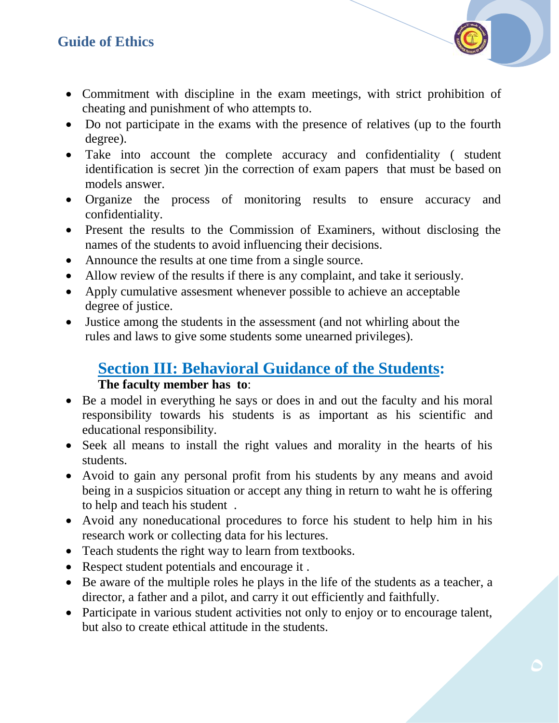- Commitment with discipline in the exam meetings, with strict prohibition of cheating and punishment of who attempts to.
- Do not participate in the exams with the presence of relatives (up to the fourth degree).
- Take into account the complete accuracy and confidentiality ( student identification is secret )in the correction of exam papers that must be based on models answer.
- Organize the process of monitoring results to ensure accuracy and confidentiality.
- Present the results to the Commission of Examiners, without disclosing the names of the students to avoid influencing their decisions.
- Announce the results at one time from a single source.
- Allow review of the results if there is any complaint, and take it seriously.
- Apply cumulative assesment whenever possible to achieve an acceptable degree of justice.
- Justice among the students in the assessment (and not whirling about the rules and laws to give some students some unearned privileges).

#### **Section III: Behavioral Guidance of the Students: The faculty member has to**:

- Be a model in everything he says or does in and out the faculty and his moral responsibility towards his students is as important as his scientific and educational responsibility.
- Seek all means to install the right values and morality in the hearts of his students.
- Avoid to gain any personal profit from his students by any means and avoid being in a suspicios situation or accept any thing in return to waht he is offering to help and teach his student .
- Avoid any noneducational procedures to force his student to help him in his research work or collecting data for his lectures.
- Teach students the right way to learn from textbooks.
- Respect student potentials and encourage it .
- Be aware of the multiple roles he plays in the life of the students as a teacher, a director, a father and a pilot, and carry it out efficiently and faithfully.
- Participate in various student activities not only to enjoy or to encourage talent, but also to create ethical attitude in the students.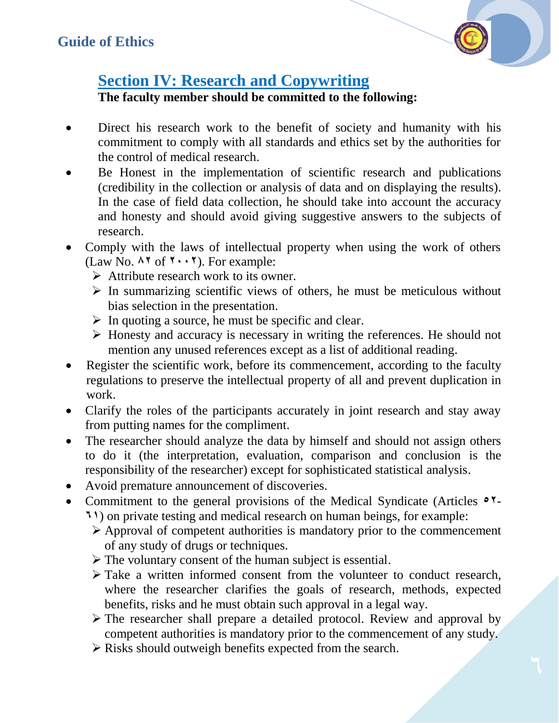

### **Section IV: Research and Copywriting**

**The faculty member should be committed to the following:**

- Direct his research work to the benefit of society and humanity with his commitment to comply with all standards and ethics set by the authorities for the control of medical research.
- Be Honest in the implementation of scientific research and publications (credibility in the collection or analysis of data and on displaying the results). In the case of field data collection, he should take into account the accuracy and honesty and should avoid giving suggestive answers to the subjects of research.
- Comply with the laws of intellectual property when using the work of others (Law No.  $\land \land$  of  $\land \cdot \cdot \land$ ). For example:
	- $\triangleright$  Attribute research work to its owner.
	- $\triangleright$  In summarizing scientific views of others, he must be meticulous without bias selection in the presentation.
	- $\triangleright$  In quoting a source, he must be specific and clear.
	- $\triangleright$  Honesty and accuracy is necessary in writing the references. He should not mention any unused references except as a list of additional reading.
- Register the scientific work, before its commencement, according to the faculty regulations to preserve the intellectual property of all and prevent duplication in work.
- Clarify the roles of the participants accurately in joint research and stay away from putting names for the compliment.
- The researcher should analyze the data by himself and should not assign others to do it (the interpretation, evaluation, comparison and conclusion is the responsibility of the researcher) except for sophisticated statistical analysis.
- Avoid premature announcement of discoveries.
- Commitment to the general provisions of the Medical Syndicate (Articles **28 1)** on private testing and medical research on human beings, for example:
	- $\triangleright$  Approval of competent authorities is mandatory prior to the commencement of any study of drugs or techniques.
	- $\triangleright$  The voluntary consent of the human subject is essential.
	- $\triangleright$  Take a written informed consent from the volunteer to conduct research, where the researcher clarifies the goals of research, methods, expected benefits, risks and he must obtain such approval in a legal way.
	- The researcher shall prepare a detailed protocol. Review and approval by competent authorities is mandatory prior to the commencement of any study.
	- $\triangleright$  Risks should outweigh benefits expected from the search.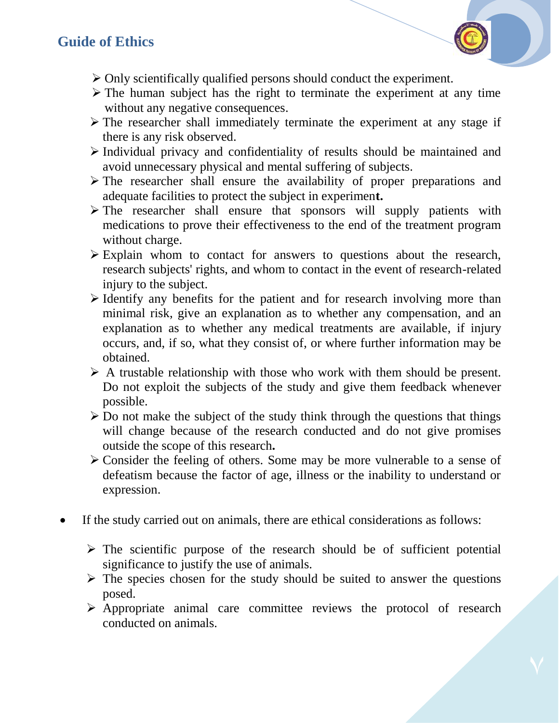- $\triangleright$  Only scientifically qualified persons should conduct the experiment.
- $\triangleright$  The human subject has the right to terminate the experiment at any time without any negative consequences.
- $\triangleright$  The researcher shall immediately terminate the experiment at any stage if there is any risk observed.
- $\triangleright$  Individual privacy and confidentiality of results should be maintained and avoid unnecessary physical and mental suffering of subjects.
- $\triangleright$  The researcher shall ensure the availability of proper preparations and adequate facilities to protect the subject in experimen**t.**
- $\triangleright$  The researcher shall ensure that sponsors will supply patients with medications to prove their effectiveness to the end of the treatment program without charge.
- $\triangleright$  Explain whom to contact for answers to questions about the research, research subjects' rights, and whom to contact in the event of research-related injury to the subject.
- $\triangleright$  Identify any benefits for the patient and for research involving more than minimal risk, give an explanation as to whether any compensation, and an explanation as to whether any medical treatments are available, if injury occurs, and, if so, what they consist of, or where further information may be obtained.
- $\triangleright$  A trustable relationship with those who work with them should be present. Do not exploit the subjects of the study and give them feedback whenever possible.
- $\triangleright$  Do not make the subject of the study think through the questions that things will change because of the research conducted and do not give promises outside the scope of this research**.**
- $\triangleright$  Consider the feeling of others. Some may be more vulnerable to a sense of defeatism because the factor of age, illness or the inability to understand or expression.
- If the study carried out on animals, there are ethical considerations as follows:
	- $\triangleright$  The scientific purpose of the research should be of sufficient potential significance to justify the use of animals.
	- $\triangleright$  The species chosen for the study should be suited to answer the questions posed.
	- $\triangleright$  Appropriate animal care committee reviews the protocol of research conducted on animals.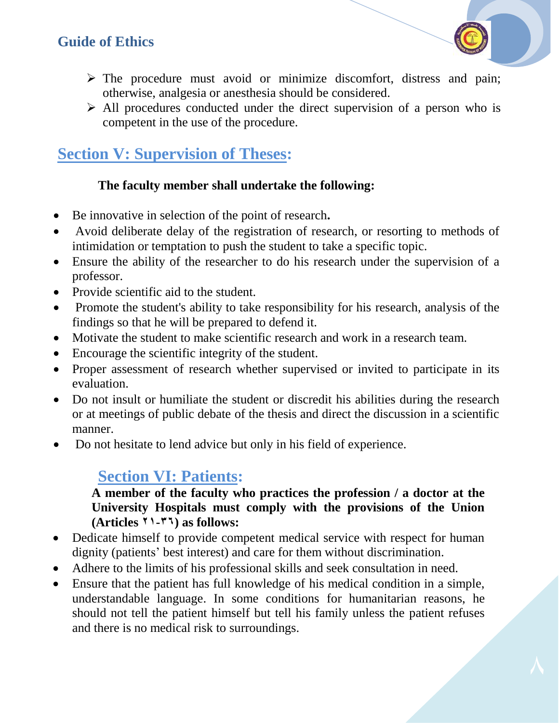

- $\triangleright$  The procedure must avoid or minimize discomfort, distress and pain; otherwise, analgesia or anesthesia should be considered.
- $\triangleright$  All procedures conducted under the direct supervision of a person who is competent in the use of the procedure.

### **Section V: Supervision of Theses:**

#### **The faculty member shall undertake the following:**

- Be innovative in selection of the point of research**.**
- Avoid deliberate delay of the registration of research, or resorting to methods of intimidation or temptation to push the student to take a specific topic.
- Ensure the ability of the researcher to do his research under the supervision of a professor.
- Provide scientific aid to the student.
- Promote the student's ability to take responsibility for his research, analysis of the findings so that he will be prepared to defend it.
- Motivate the student to make scientific research and work in a research team.
- Encourage the scientific integrity of the student.
- Proper assessment of research whether supervised or invited to participate in its evaluation.
- Do not insult or humiliate the student or discredit his abilities during the research or at meetings of public debate of the thesis and direct the discussion in a scientific manner.
- Do not hesitate to lend advice but only in his field of experience.

### **Section VI: Patients:**

#### **A member of the faculty who practices the profession / a doctor at the University Hospitals must comply with the provisions of the Union (Articles 86-61) as follows:**

- Dedicate himself to provide competent medical service with respect for human dignity (patients' best interest) and care for them without discrimination.
- Adhere to the limits of his professional skills and seek consultation in need.
- Ensure that the patient has full knowledge of his medical condition in a simple, understandable language. In some conditions for humanitarian reasons, he should not tell the patient himself but tell his family unless the patient refuses and there is no medical risk to surroundings.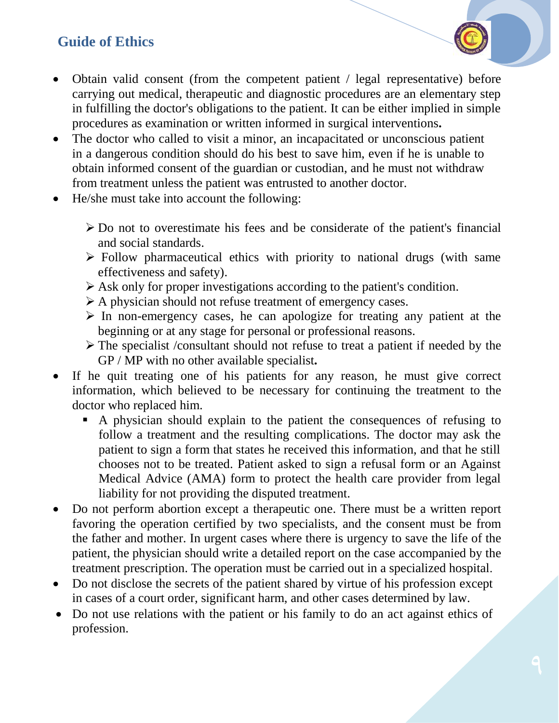- Obtain valid consent (from the competent patient / legal representative) before carrying out medical, therapeutic and diagnostic procedures are an elementary step in fulfilling the doctor's obligations to the patient. It can be either implied in simple procedures as examination or written informed in surgical interventions**.**
- The doctor who called to visit a minor, an incapacitated or unconscious patient in a dangerous condition should do his best to save him, even if he is unable to obtain informed consent of the guardian or custodian, and he must not withdraw from treatment unless the patient was entrusted to another doctor.
- He/she must take into account the following:
	- $\triangleright$  Do not to overestimate his fees and be considerate of the patient's financial and social standards.
	- $\triangleright$  Follow pharmaceutical ethics with priority to national drugs (with same effectiveness and safety).
	- $\triangleright$  Ask only for proper investigations according to the patient's condition.
	- A physician should not refuse treatment of emergency cases.
	- $\triangleright$  In non-emergency cases, he can apologize for treating any patient at the beginning or at any stage for personal or professional reasons.
	- The specialist /consultant should not refuse to treat a patient if needed by the GP / MP with no other available specialist**.**
- If he quit treating one of his patients for any reason, he must give correct information, which believed to be necessary for continuing the treatment to the doctor who replaced him.
	- A physician should explain to the patient the consequences of refusing to follow a treatment and the resulting complications. The doctor may ask the patient to sign a form that states he received this information, and that he still chooses not to be treated. Patient asked to sign a refusal form or an Against Medical Advice (AMA) form to protect the health care provider from legal liability for not providing the disputed treatment.
- Do not perform abortion except a therapeutic one. There must be a written report favoring the operation certified by two specialists, and the consent must be from the father and mother. In urgent cases where there is urgency to save the life of the patient, the physician should write a detailed report on the case accompanied by the treatment prescription. The operation must be carried out in a specialized hospital.
- Do not disclose the secrets of the patient shared by virtue of his profession except in cases of a court order, significant harm, and other cases determined by law.
- Do not use relations with the patient or his family to do an act against ethics of profession.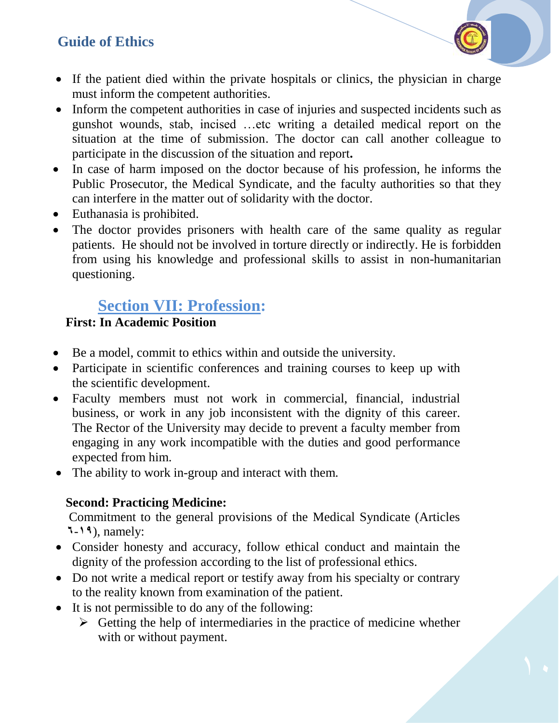- If the patient died within the private hospitals or clinics, the physician in charge must inform the competent authorities.
- Inform the competent authorities in case of injuries and suspected incidents such as gunshot wounds, stab, incised …etc writing a detailed medical report on the situation at the time of submission. The doctor can call another colleague to participate in the discussion of the situation and report**.**
- In case of harm imposed on the doctor because of his profession, he informs the Public Prosecutor, the Medical Syndicate, and the faculty authorities so that they can interfere in the matter out of solidarity with the doctor.
- Euthanasia is prohibited.
- The doctor provides prisoners with health care of the same quality as regular patients. He should not be involved in torture directly or indirectly. He is forbidden from using his knowledge and professional skills to assist in non-humanitarian questioning.

### **Section VII: Profession:**

#### **First: In Academic Position**

- Be a model, commit to ethics within and outside the university.
- Participate in scientific conferences and training courses to keep up with the scientific development.
- Faculty members must not work in commercial, financial, industrial business, or work in any job inconsistent with the dignity of this career. The Rector of the University may decide to prevent a faculty member from engaging in any work incompatible with the duties and good performance expected from him.
- The ability to work in-group and interact with them.

#### **Second: Practicing Medicine:**

Commitment to the general provisions of the Medical Syndicate (Articles **1**-**61**), namely:

- Consider honesty and accuracy, follow ethical conduct and maintain the dignity of the profession according to the list of professional ethics.
- Do not write a medical report or testify away from his specialty or contrary to the reality known from examination of the patient.
- It is not permissible to do any of the following:
	- $\triangleright$  Getting the help of intermediaries in the practice of medicine whether with or without payment.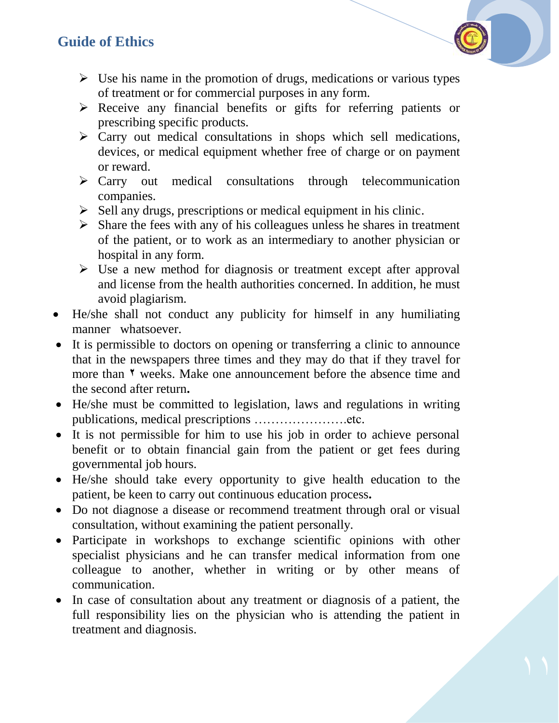- $\triangleright$  Use his name in the promotion of drugs, medications or various types of treatment or for commercial purposes in any form.
- $\triangleright$  Receive any financial benefits or gifts for referring patients or prescribing specific products.
- $\triangleright$  Carry out medical consultations in shops which sell medications, devices, or medical equipment whether free of charge or on payment or reward.
- $\triangleright$  Carry out medical consultations through telecommunication companies.
- $\triangleright$  Sell any drugs, prescriptions or medical equipment in his clinic.
- $\triangleright$  Share the fees with any of his colleagues unless he shares in treatment of the patient, or to work as an intermediary to another physician or hospital in any form.
- $\triangleright$  Use a new method for diagnosis or treatment except after approval and license from the health authorities concerned. In addition, he must avoid plagiarism.
- He/she shall not conduct any publicity for himself in any humiliating manner whatsoever.
- It is permissible to doctors on opening or transferring a clinic to announce that in the newspapers three times and they may do that if they travel for more than **<sup>** $\theta$ **</sup>** weeks. Make one announcement before the absence time and the second after return**.**
- He/she must be committed to legislation, laws and regulations in writing publications, medical prescriptions ………………….etc.
- It is not permissible for him to use his job in order to achieve personal benefit or to obtain financial gain from the patient or get fees during governmental job hours.
- He/she should take every opportunity to give health education to the patient, be keen to carry out continuous education process**.**
- Do not diagnose a disease or recommend treatment through oral or visual consultation, without examining the patient personally.
- Participate in workshops to exchange scientific opinions with other specialist physicians and he can transfer medical information from one colleague to another, whether in writing or by other means of communication.
- In case of consultation about any treatment or diagnosis of a patient, the full responsibility lies on the physician who is attending the patient in treatment and diagnosis.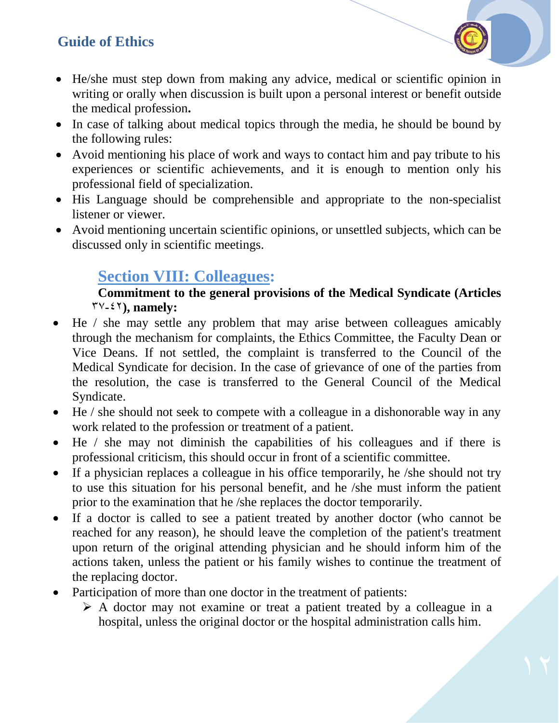- He/she must step down from making any advice, medical or scientific opinion in writing or orally when discussion is built upon a personal interest or benefit outside the medical profession**.**
- In case of talking about medical topics through the media, he should be bound by the following rules:
- Avoid mentioning his place of work and ways to contact him and pay tribute to his experiences or scientific achievements, and it is enough to mention only his professional field of specialization.
- His Language should be comprehensible and appropriate to the non-specialist listener or viewer.
- Avoid mentioning uncertain scientific opinions, or unsettled subjects, which can be discussed only in scientific meetings.

### **Section VIII: Colleagues:**

#### **Commitment to the general provisions of the Medical Syndicate (Articles**  73**-**24**), namely:**

- He / she may settle any problem that may arise between colleagues amicably through the mechanism for complaints, the Ethics Committee, the Faculty Dean or Vice Deans. If not settled, the complaint is transferred to the Council of the Medical Syndicate for decision. In the case of grievance of one of the parties from the resolution, the case is transferred to the General Council of the Medical Syndicate.
- He / she should not seek to compete with a colleague in a dishonorable way in any work related to the profession or treatment of a patient.
- He / she may not diminish the capabilities of his colleagues and if there is professional criticism, this should occur in front of a scientific committee.
- If a physician replaces a colleague in his office temporarily, he /she should not try to use this situation for his personal benefit, and he /she must inform the patient prior to the examination that he /she replaces the doctor temporarily.
- If a doctor is called to see a patient treated by another doctor (who cannot be reached for any reason), he should leave the completion of the patient's treatment upon return of the original attending physician and he should inform him of the actions taken, unless the patient or his family wishes to continue the treatment of the replacing doctor.
- Participation of more than one doctor in the treatment of patients:
	- $\triangleright$  A doctor may not examine or treat a patient treated by a colleague in a hospital, unless the original doctor or the hospital administration calls him.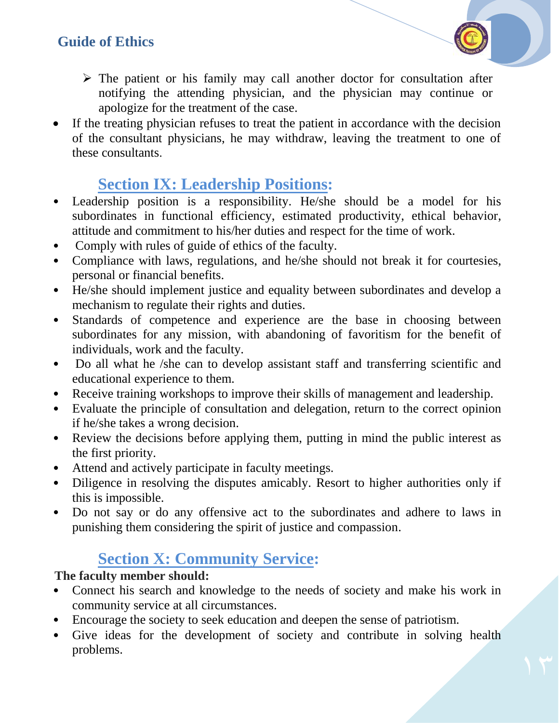- $\triangleright$  The patient or his family may call another doctor for consultation after notifying the attending physician, and the physician may continue or apologize for the treatment of the case.
- If the treating physician refuses to treat the patient in accordance with the decision of the consultant physicians, he may withdraw, leaving the treatment to one of these consultants.

### **Section IX: Leadership Positions:**

- Leadership position is a responsibility. He/she should be a model for his subordinates in functional efficiency, estimated productivity, ethical behavior, attitude and commitment to his/her duties and respect for the time of work.
- Comply with rules of guide of ethics of the faculty.
- Compliance with laws, regulations, and he/she should not break it for courtesies, personal or financial benefits.
- He/she should implement justice and equality between subordinates and develop a mechanism to regulate their rights and duties.
- Standards of competence and experience are the base in choosing between subordinates for any mission, with abandoning of favoritism for the benefit of individuals, work and the faculty.
- Do all what he /she can to develop assistant staff and transferring scientific and educational experience to them.
- Receive training workshops to improve their skills of management and leadership.
- Evaluate the principle of consultation and delegation, return to the correct opinion if he/she takes a wrong decision.
- Review the decisions before applying them, putting in mind the public interest as the first priority.
- Attend and actively participate in faculty meetings.
- Diligence in resolving the disputes amicably. Resort to higher authorities only if this is impossible.
- Do not say or do any offensive act to the subordinates and adhere to laws in punishing them considering the spirit of justice and compassion.

### **Section X: Community Service:**

#### **The faculty member should:**

- Connect his search and knowledge to the needs of society and make his work in community service at all circumstances.
- Encourage the society to seek education and deepen the sense of patriotism.
- Give ideas for the development of society and contribute in solving health problems.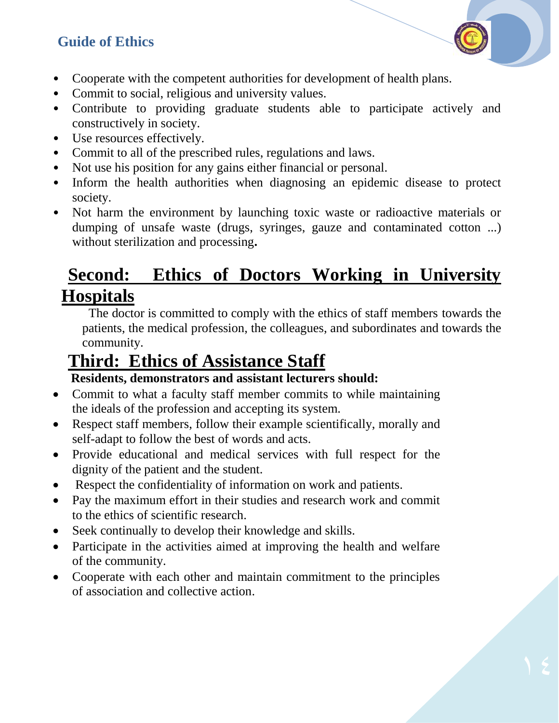- Cooperate with the competent authorities for development of health plans.
- Commit to social, religious and university values.
- Contribute to providing graduate students able to participate actively and constructively in society.
- Use resources effectively.
- Commit to all of the prescribed rules, regulations and laws.
- Not use his position for any gains either financial or personal.
- Inform the health authorities when diagnosing an epidemic disease to protect society.
- Not harm the environment by launching toxic waste or radioactive materials or dumping of unsafe waste (drugs, syringes, gauze and contaminated cotton ...) without sterilization and processing**.**

### **Second: Ethics of Doctors Working in University Hospitals**

The doctor is committed to comply with the ethics of staff members towards the patients, the medical profession, the colleagues, and subordinates and towards the community.

## **Third: Ethics of Assistance Staff**

#### **Residents, demonstrators and assistant lecturers should:**

- Commit to what a faculty staff member commits to while maintaining the ideals of the profession and accepting its system.
- Respect staff members, follow their example scientifically, morally and self-adapt to follow the best of words and acts.
- Provide educational and medical services with full respect for the dignity of the patient and the student.
- Respect the confidentiality of information on work and patients.
- Pay the maximum effort in their studies and research work and commit to the ethics of scientific research.
- Seek continually to develop their knowledge and skills.
- Participate in the activities aimed at improving the health and welfare of the community.
- Cooperate with each other and maintain commitment to the principles of association and collective action.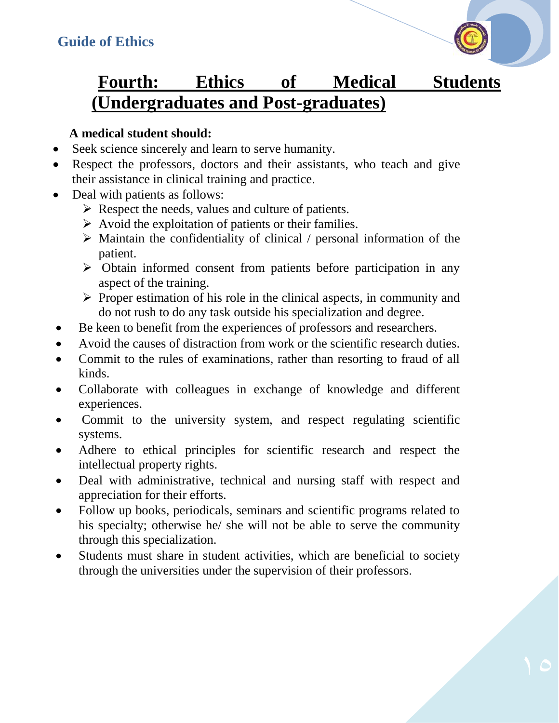

### **Fourth: Ethics of Medical Students (Undergraduates and Post-graduates)**

#### **A medical student should:**

- Seek science sincerely and learn to serve humanity.
- Respect the professors, doctors and their assistants, who teach and give their assistance in clinical training and practice.
- Deal with patients as follows:
	- $\triangleright$  Respect the needs, values and culture of patients.
	- $\triangleright$  Avoid the exploitation of patients or their families.
	- $\triangleright$  Maintain the confidentiality of clinical / personal information of the patient.
	- $\triangleright$  Obtain informed consent from patients before participation in any aspect of the training.
	- $\triangleright$  Proper estimation of his role in the clinical aspects, in community and do not rush to do any task outside his specialization and degree.
- Be keen to benefit from the experiences of professors and researchers.
- Avoid the causes of distraction from work or the scientific research duties.
- Commit to the rules of examinations, rather than resorting to fraud of all kinds.
- Collaborate with colleagues in exchange of knowledge and different experiences.
- Commit to the university system, and respect regulating scientific systems.
- Adhere to ethical principles for scientific research and respect the intellectual property rights.
- Deal with administrative, technical and nursing staff with respect and appreciation for their efforts.
- Follow up books, periodicals, seminars and scientific programs related to his specialty; otherwise he/ she will not be able to serve the community through this specialization.
- Students must share in student activities, which are beneficial to society through the universities under the supervision of their professors.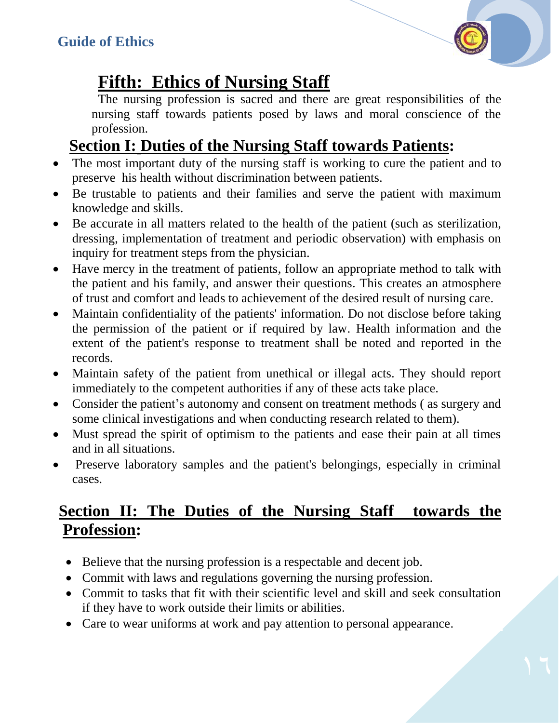### **Fifth: Ethics of Nursing Staff**

The nursing profession is sacred and there are great responsibilities of the nursing staff towards patients posed by laws and moral conscience of the profession.

### **Section I: Duties of the Nursing Staff towards Patients:**

- The most important duty of the nursing staff is working to cure the patient and to preserve his health without discrimination between patients.
- Be trustable to patients and their families and serve the patient with maximum knowledge and skills.
- Be accurate in all matters related to the health of the patient (such as sterilization, dressing, implementation of treatment and periodic observation) with emphasis on inquiry for treatment steps from the physician.
- Have mercy in the treatment of patients, follow an appropriate method to talk with the patient and his family, and answer their questions. This creates an atmosphere of trust and comfort and leads to achievement of the desired result of nursing care.
- Maintain confidentiality of the patients' information. Do not disclose before taking the permission of the patient or if required by law. Health information and the extent of the patient's response to treatment shall be noted and reported in the records.
- Maintain safety of the patient from unethical or illegal acts. They should report immediately to the competent authorities if any of these acts take place.
- Consider the patient's autonomy and consent on treatment methods (as surgery and some clinical investigations and when conducting research related to them).
- Must spread the spirit of optimism to the patients and ease their pain at all times and in all situations.
- Preserve laboratory samples and the patient's belongings, especially in criminal cases.

### **Section II: The Duties of the Nursing Staff towards the Profession:**

- Believe that the nursing profession is a respectable and decent job.
- Commit with laws and regulations governing the nursing profession.
- Commit to tasks that fit with their scientific level and skill and seek consultation if they have to work outside their limits or abilities.
- Care to wear uniforms at work and pay attention to personal appearance.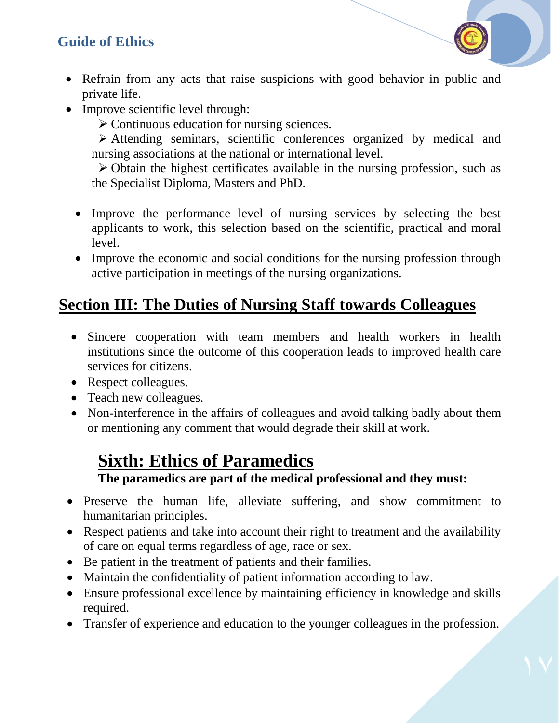- Refrain from any acts that raise suspicions with good behavior in public and private life.
- Improve scientific level through:

 $\triangleright$  Continuous education for nursing sciences.

 Attending seminars, scientific conferences organized by medical and nursing associations at the national or international level.

 $\triangleright$  Obtain the highest certificates available in the nursing profession, such as the Specialist Diploma, Masters and PhD.

- Improve the performance level of nursing services by selecting the best applicants to work, this selection based on the scientific, practical and moral level.
- Improve the economic and social conditions for the nursing profession through active participation in meetings of the nursing organizations.

### **Section III: The Duties of Nursing Staff towards Colleagues**

- Sincere cooperation with team members and health workers in health institutions since the outcome of this cooperation leads to improved health care services for citizens.
- Respect colleagues.
- Teach new colleagues.
- Non-interference in the affairs of colleagues and avoid talking badly about them or mentioning any comment that would degrade their skill at work.

### **Sixth: Ethics of Paramedics**

#### **The paramedics are part of the medical professional and they must:**

- Preserve the human life, alleviate suffering, and show commitment to humanitarian principles.
- Respect patients and take into account their right to treatment and the availability of care on equal terms regardless of age, race or sex.
- Be patient in the treatment of patients and their families.
- Maintain the confidentiality of patient information according to law.
- Ensure professional excellence by maintaining efficiency in knowledge and skills required.
- Transfer of experience and education to the younger colleagues in the profession.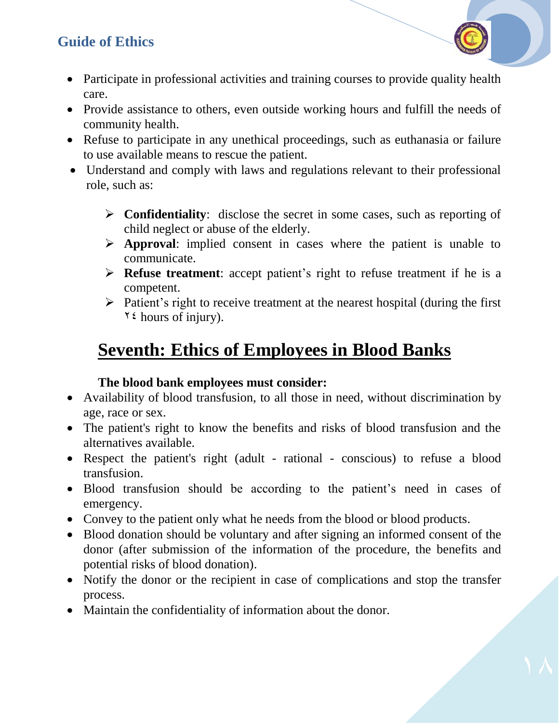- Participate in professional activities and training courses to provide quality health care.
- Provide assistance to others, even outside working hours and fulfill the needs of community health.
- Refuse to participate in any unethical proceedings, such as euthanasia or failure to use available means to rescue the patient.
- Understand and comply with laws and regulations relevant to their professional role, such as:
	- **Confidentiality**: disclose the secret in some cases, such as reporting of child neglect or abuse of the elderly.
	- **Approval**: implied consent in cases where the patient is unable to communicate.
	- **Refuse treatment**: accept patient's right to refuse treatment if he is a competent.
	- $\triangleright$  Patient's right to receive treatment at the nearest hospital (during the first  $\forall$  { hours of injury).

### **Seventh: Ethics of Employees in Blood Banks**

#### **The blood bank employees must consider:**

- Availability of blood transfusion, to all those in need, without discrimination by age, race or sex.
- The patient's right to know the benefits and risks of blood transfusion and the alternatives available.
- Respect the patient's right (adult rational conscious) to refuse a blood transfusion.
- Blood transfusion should be according to the patient's need in cases of emergency.
- Convey to the patient only what he needs from the blood or blood products.
- Blood donation should be voluntary and after signing an informed consent of the donor (after submission of the information of the procedure, the benefits and potential risks of blood donation).
- Notify the donor or the recipient in case of complications and stop the transfer process.
- Maintain the confidentiality of information about the donor.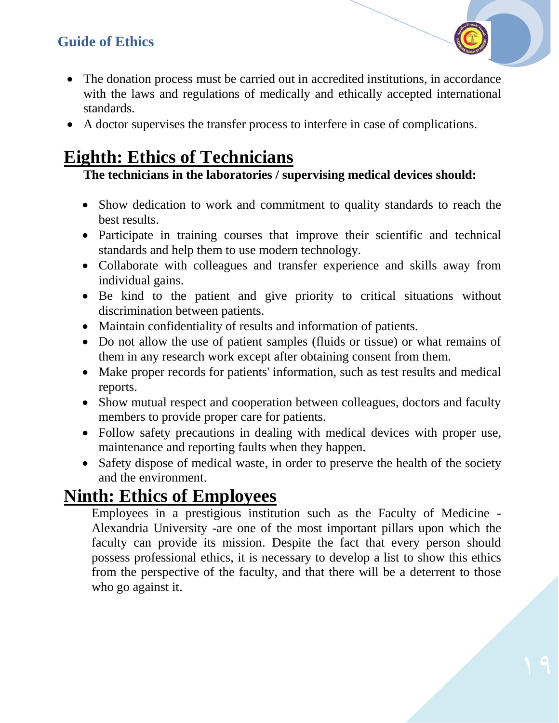- The donation process must be carried out in accredited institutions, in accordance with the laws and regulations of medically and ethically accepted international standards.
- A doctor supervises the transfer process to interfere in case of complications.

### **Eighth: Ethics of Technicians**

#### **The technicians in the laboratories / supervising medical devices should:**

- Show dedication to work and commitment to quality standards to reach the best results.
- Participate in training courses that improve their scientific and technical standards and help them to use modern technology.
- Collaborate with colleagues and transfer experience and skills away from individual gains.
- Be kind to the patient and give priority to critical situations without discrimination between patients.
- Maintain confidentiality of results and information of patients.
- Do not allow the use of patient samples (fluids or tissue) or what remains of them in any research work except after obtaining consent from them.
- Make proper records for patients' information, such as test results and medical reports.
- Show mutual respect and cooperation between colleagues, doctors and faculty members to provide proper care for patients.
- Follow safety precautions in dealing with medical devices with proper use, maintenance and reporting faults when they happen.
- Safety dispose of medical waste, in order to preserve the health of the society and the environment.

### **Ninth: Ethics of Employees**

Employees in a prestigious institution such as the Faculty of Medicine - Alexandria University -are one of the most important pillars upon which the faculty can provide its mission. Despite the fact that every person should possess professional ethics, it is necessary to develop a list to show this ethics from the perspective of the faculty, and that there will be a deterrent to those who go against it.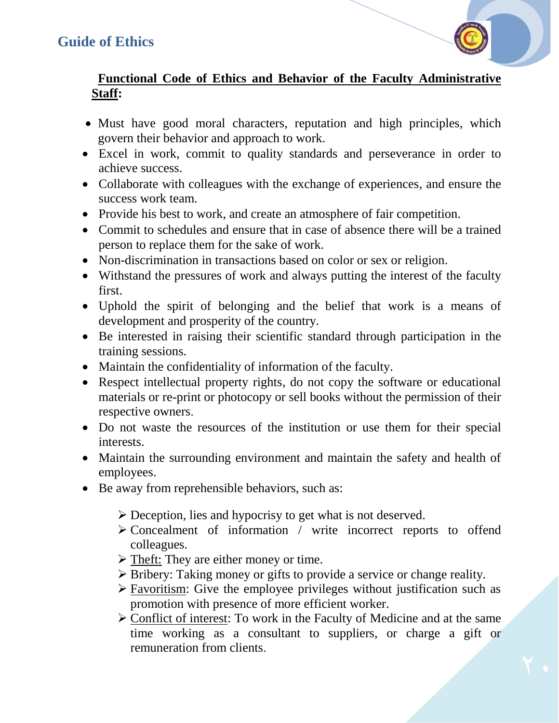#### **Functional Code of Ethics and Behavior of the Faculty Administrative Staff:**

- Must have good moral characters, reputation and high principles, which govern their behavior and approach to work.
- Excel in work, commit to quality standards and perseverance in order to achieve success.
- Collaborate with colleagues with the exchange of experiences, and ensure the success work team.
- Provide his best to work, and create an atmosphere of fair competition.
- Commit to schedules and ensure that in case of absence there will be a trained person to replace them for the sake of work.
- Non-discrimination in transactions based on color or sex or religion.
- Withstand the pressures of work and always putting the interest of the faculty first.
- Uphold the spirit of belonging and the belief that work is a means of development and prosperity of the country.
- Be interested in raising their scientific standard through participation in the training sessions.
- Maintain the confidentiality of information of the faculty.
- Respect intellectual property rights, do not copy the software or educational materials or re-print or photocopy or sell books without the permission of their respective owners.
- Do not waste the resources of the institution or use them for their special interests.
- Maintain the surrounding environment and maintain the safety and health of employees.
- Be away from reprehensible behaviors, such as:
	- Deception, lies and hypocrisy to get what is not deserved.
	- $\triangleright$  Concealment of information / write incorrect reports to offend colleagues.
	- $\triangleright$  Theft: They are either money or time.
	- $\triangleright$  Bribery: Taking money or gifts to provide a service or change reality.
	- $\triangleright$  Favoritism: Give the employee privileges without justification such as promotion with presence of more efficient worker.
	- Conflict of interest: To work in the Faculty of Medicine and at the same time working as a consultant to suppliers, or charge a gift or remuneration from clients.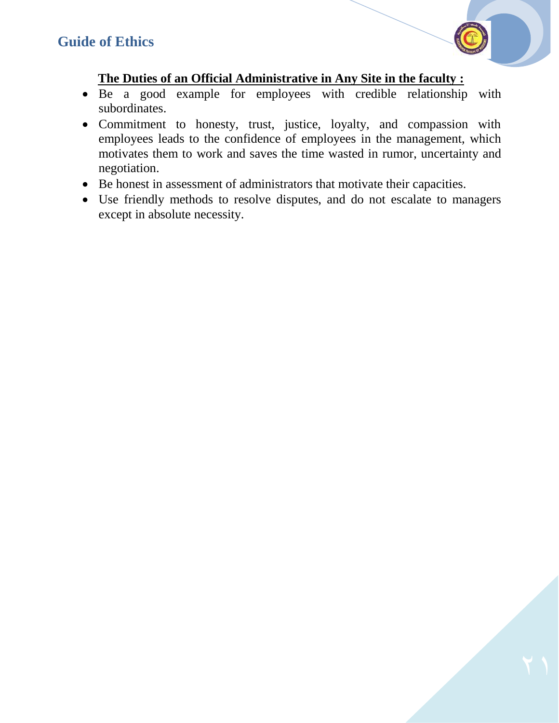

#### **The Duties of an Official Administrative in Any Site in the faculty :**

- Be a good example for employees with credible relationship with subordinates.
- Commitment to honesty, trust, justice, loyalty, and compassion with employees leads to the confidence of employees in the management, which motivates them to work and saves the time wasted in rumor, uncertainty and negotiation.
- Be honest in assessment of administrators that motivate their capacities.
- Use friendly methods to resolve disputes, and do not escalate to managers except in absolute necessity.